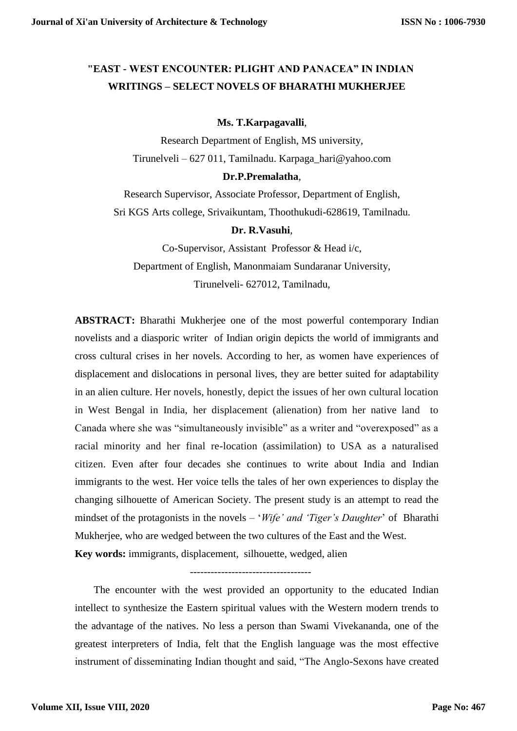# **"EAST - WEST ENCOUNTER: PLIGHT AND PANACEA" IN INDIAN WRITINGS – SELECT NOVELS OF BHARATHI MUKHERJEE**

#### **Ms. T.Karpagavalli**,

Research Department of English, MS university, Tirunelveli – 627 011, Tamilnadu. Karpaga\_hari@yahoo.com

# **Dr.P.Premalatha**,

Research Supervisor, Associate Professor, Department of English, Sri KGS Arts college, Srivaikuntam, Thoothukudi-628619, Tamilnadu.

## **Dr. R.Vasuhi**,

Co-Supervisor, Assistant Professor & Head i/c, Department of English, Manonmaiam Sundaranar University, Tirunelveli- 627012, Tamilnadu,

**ABSTRACT:** Bharathi Mukherjee one of the most powerful contemporary Indian novelists and a diasporic writer of Indian origin depicts the world of immigrants and cross cultural crises in her novels. According to her, as women have experiences of displacement and dislocations in personal lives, they are better suited for adaptability in an alien culture. Her novels, honestly, depict the issues of her own cultural location in West Bengal in India, her displacement (alienation) from her native land to Canada where she was "simultaneously invisible" as a writer and "overexposed" as a racial minority and her final re-location (assimilation) to USA as a naturalised citizen. Even after four decades she continues to write about India and Indian immigrants to the west. Her voice tells the tales of her own experiences to display the changing silhouette of American Society. The present study is an attempt to read the mindset of the protagonists in the novels – '*Wife' and 'Tiger's Daughter*' of Bharathi Mukherjee, who are wedged between the two cultures of the East and the West. **Key words:** immigrants, displacement, silhouette, wedged, alien

-----------------------------------

The encounter with the west provided an opportunity to the educated Indian intellect to synthesize the Eastern spiritual values with the Western modern trends to the advantage of the natives. No less a person than Swami Vivekananda, one of the greatest interpreters of India, felt that the English language was the most effective instrument of disseminating Indian thought and said, "The Anglo-Sexons have created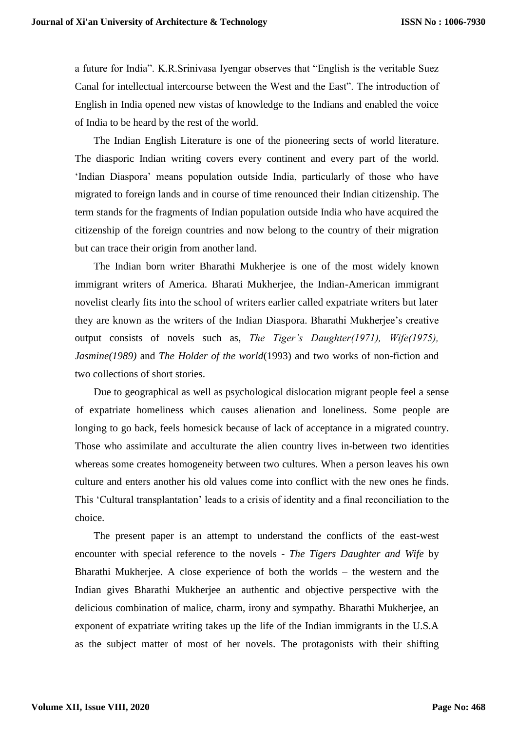a future for India". K.R.Srinivasa Iyengar observes that "English is the veritable Suez Canal for intellectual intercourse between the West and the East". The introduction of English in India opened new vistas of knowledge to the Indians and enabled the voice of India to be heard by the rest of the world.

The Indian English Literature is one of the pioneering sects of world literature. The diasporic Indian writing covers every continent and every part of the world. 'Indian Diaspora' means population outside India, particularly of those who have migrated to foreign lands and in course of time renounced their Indian citizenship. The term stands for the fragments of Indian population outside India who have acquired the citizenship of the foreign countries and now belong to the country of their migration but can trace their origin from another land.

The Indian born writer Bharathi Mukherjee is one of the most widely known immigrant writers of America. Bharati Mukherjee, the Indian-American immigrant novelist clearly fits into the school of writers earlier called expatriate writers but later they are known as the writers of the Indian Diaspora. Bharathi Mukherjee's creative output consists of novels such as, *The Tiger's Daughter(1971), Wife(1975), Jasmine(1989)* and *The Holder of the world*(1993) and two works of non-fiction and two collections of short stories.

Due to geographical as well as psychological dislocation migrant people feel a sense of expatriate homeliness which causes alienation and loneliness. Some people are longing to go back, feels homesick because of lack of acceptance in a migrated country. Those who assimilate and acculturate the alien country lives in-between two identities whereas some creates homogeneity between two cultures. When a person leaves his own culture and enters another his old values come into conflict with the new ones he finds. This 'Cultural transplantation' leads to a crisis of identity and a final reconciliation to the choice.

The present paper is an attempt to understand the conflicts of the east-west encounter with special reference to the novels - *The Tigers Daughter and Wife* by Bharathi Mukherjee. A close experience of both the worlds – the western and the Indian gives Bharathi Mukherjee an authentic and objective perspective with the delicious combination of malice, charm, irony and sympathy. Bharathi Mukherjee, an exponent of expatriate writing takes up the life of the Indian immigrants in the U.S.A as the subject matter of most of her novels. The protagonists with their shifting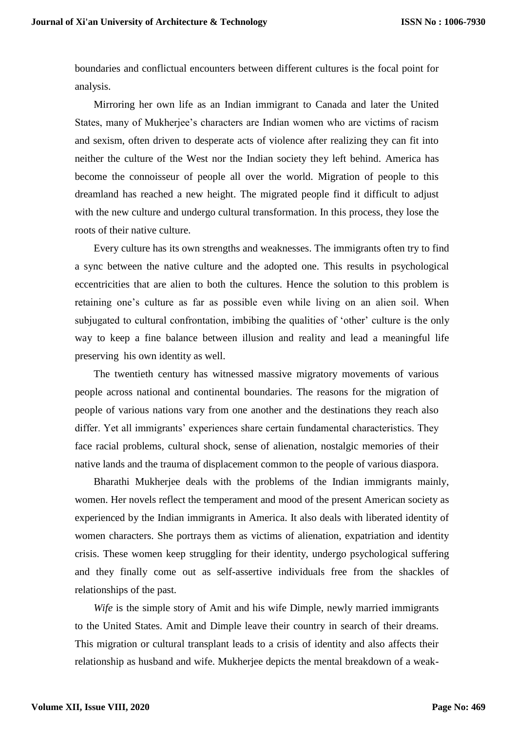boundaries and conflictual encounters between different cultures is the focal point for analysis.

Mirroring her own life as an Indian immigrant to Canada and later the United States, many of Mukherjee's characters are Indian women who are victims of racism and sexism, often driven to desperate acts of violence after realizing they can fit into neither the culture of the West nor the Indian society they left behind. America has become the connoisseur of people all over the world. Migration of people to this dreamland has reached a new height. The migrated people find it difficult to adjust with the new culture and undergo cultural transformation. In this process, they lose the roots of their native culture.

Every culture has its own strengths and weaknesses. The immigrants often try to find a sync between the native culture and the adopted one. This results in psychological eccentricities that are alien to both the cultures. Hence the solution to this problem is retaining one's culture as far as possible even while living on an alien soil. When subjugated to cultural confrontation, imbibing the qualities of 'other' culture is the only way to keep a fine balance between illusion and reality and lead a meaningful life preserving his own identity as well.

The twentieth century has witnessed massive migratory movements of various people across national and continental boundaries. The reasons for the migration of people of various nations vary from one another and the destinations they reach also differ. Yet all immigrants' experiences share certain fundamental characteristics. They face racial problems, cultural shock, sense of alienation, nostalgic memories of their native lands and the trauma of displacement common to the people of various diaspora.

Bharathi Mukherjee deals with the problems of the Indian immigrants mainly, women. Her novels reflect the temperament and mood of the present American society as experienced by the Indian immigrants in America. It also deals with liberated identity of women characters. She portrays them as victims of alienation, expatriation and identity crisis. These women keep struggling for their identity, undergo psychological suffering and they finally come out as self-assertive individuals free from the shackles of relationships of the past.

*Wife* is the simple story of Amit and his wife Dimple, newly married immigrants to the United States. Amit and Dimple leave their country in search of their dreams. This migration or cultural transplant leads to a crisis of identity and also affects their relationship as husband and wife. Mukherjee depicts the mental breakdown of a weak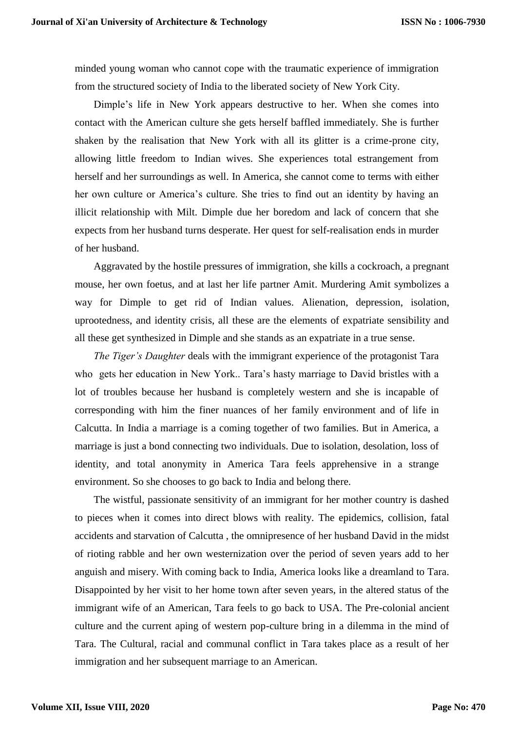minded young woman who cannot cope with the traumatic experience of immigration from the structured society of India to the liberated society of New York City.

Dimple's life in New York appears destructive to her. When she comes into contact with the American culture she gets herself baffled immediately. She is further shaken by the realisation that New York with all its glitter is a crime-prone city, allowing little freedom to Indian wives. She experiences total estrangement from herself and her surroundings as well. In America, she cannot come to terms with either her own culture or America's culture. She tries to find out an identity by having an illicit relationship with Milt. Dimple due her boredom and lack of concern that she expects from her husband turns desperate. Her quest for self-realisation ends in murder of her husband.

Aggravated by the hostile pressures of immigration, she kills a cockroach, a pregnant mouse, her own foetus, and at last her life partner Amit. Murdering Amit symbolizes a way for Dimple to get rid of Indian values. Alienation, depression, isolation, uprootedness, and identity crisis, all these are the elements of expatriate sensibility and all these get synthesized in Dimple and she stands as an expatriate in a true sense.

*The Tiger's Daughter* deals with the immigrant experience of the protagonist Tara who gets her education in New York.. Tara's hasty marriage to David bristles with a lot of troubles because her husband is completely western and she is incapable of corresponding with him the finer nuances of her family environment and of life in Calcutta. In India a marriage is a coming together of two families. But in America, a marriage is just a bond connecting two individuals. Due to isolation, desolation, loss of identity, and total anonymity in America Tara feels apprehensive in a strange environment. So she chooses to go back to India and belong there.

The wistful, passionate sensitivity of an immigrant for her mother country is dashed to pieces when it comes into direct blows with reality. The epidemics, collision, fatal accidents and starvation of Calcutta , the omnipresence of her husband David in the midst of rioting rabble and her own westernization over the period of seven years add to her anguish and misery. With coming back to India, America looks like a dreamland to Tara. Disappointed by her visit to her home town after seven years, in the altered status of the immigrant wife of an American, Tara feels to go back to USA. The Pre-colonial ancient culture and the current aping of western pop-culture bring in a dilemma in the mind of Tara. The Cultural, racial and communal conflict in Tara takes place as a result of her immigration and her subsequent marriage to an American.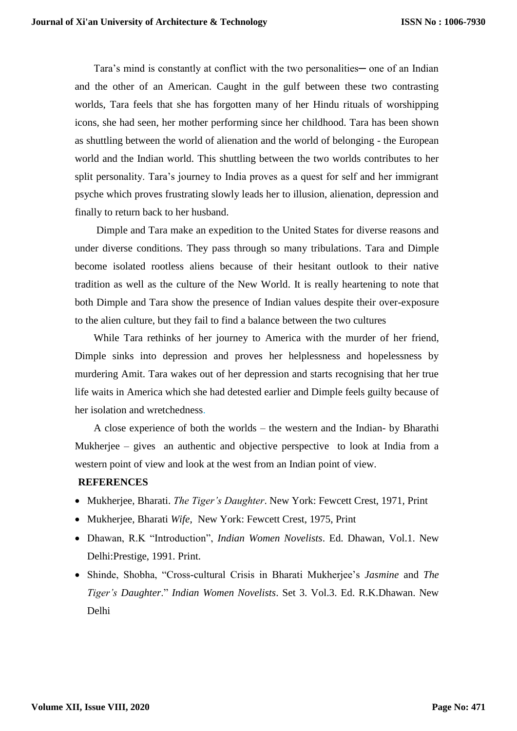Tara's mind is constantly at conflict with the two personalities— one of an Indian and the other of an American. Caught in the gulf between these two contrasting worlds, Tara feels that she has forgotten many of her Hindu rituals of worshipping icons, she had seen, her mother performing since her childhood. Tara has been shown as shuttling between the world of alienation and the world of belonging - the European world and the Indian world. This shuttling between the two worlds contributes to her split personality. Tara's journey to India proves as a quest for self and her immigrant psyche which proves frustrating slowly leads her to illusion, alienation, depression and finally to return back to her husband.

Dimple and Tara make an expedition to the United States for diverse reasons and under diverse conditions. They pass through so many tribulations. Tara and Dimple become isolated rootless aliens because of their hesitant outlook to their native tradition as well as the culture of the New World. It is really heartening to note that both Dimple and Tara show the presence of Indian values despite their over-exposure to the alien culture, but they fail to find a balance between the two cultures

While Tara rethinks of her journey to America with the murder of her friend, Dimple sinks into depression and proves her helplessness and hopelessness by murdering Amit. Tara wakes out of her depression and starts recognising that her true life waits in America which she had detested earlier and Dimple feels guilty because of her isolation and wretchedness.

A close experience of both the worlds – the western and the Indian- by Bharathi Mukherjee – gives an authentic and objective perspective to look at India from a western point of view and look at the west from an Indian point of view.

## **REFERENCES**

- Mukherjee, Bharati. *The Tiger's Daughter*. New York: Fewcett Crest, 1971, Print
- Mukherjee, Bharati *Wife*, New York: Fewcett Crest, 1975, Print
- Dhawan, R.K "Introduction", *Indian Women Novelists*. Ed. Dhawan, Vol.1. New Delhi:Prestige, 1991. Print.
- Shinde, Shobha, "Cross-cultural Crisis in Bharati Mukherjee's *Jasmine* and *The Tiger's Daughter*." *Indian Women Novelists*. Set 3. Vol.3. Ed. R.K.Dhawan. New Delhi